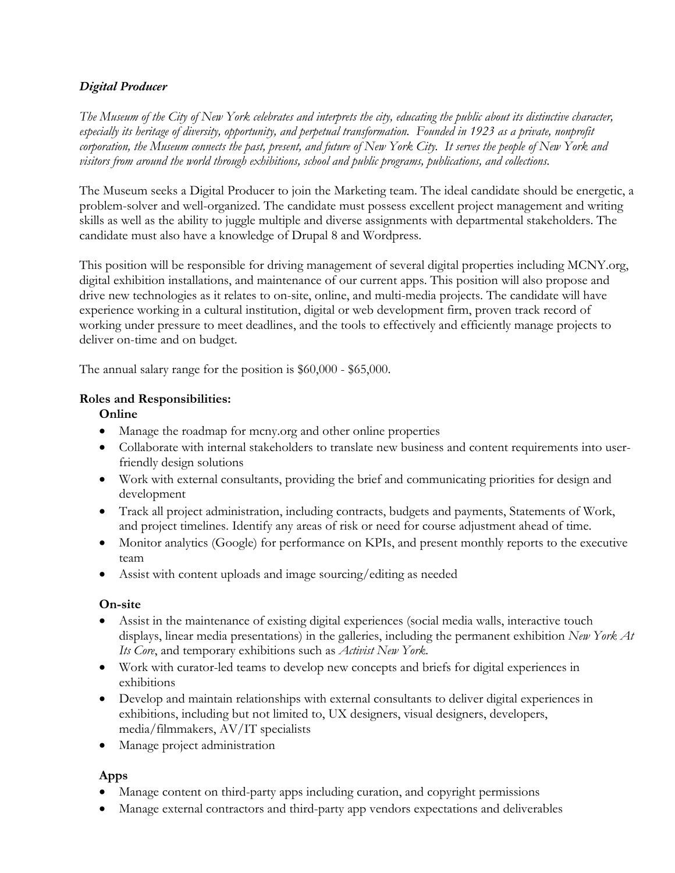#### *Digital Producer*

*The Museum of the City of New York celebrates and interprets the city, educating the public about its distinctive character, especially its heritage of diversity, opportunity, and perpetual transformation. Founded in 1923 as a private, nonprofit corporation, the Museum connects the past, present, and future of New York City. It serves the people of New York and visitors from around the world through exhibitions, school and public programs, publications, and collections.*

The Museum seeks a Digital Producer to join the Marketing team. The ideal candidate should be energetic, a problem-solver and well-organized. The candidate must possess excellent project management and writing skills as well as the ability to juggle multiple and diverse assignments with departmental stakeholders. The candidate must also have a knowledge of Drupal 8 and Wordpress.

This position will be responsible for driving management of several digital properties including MCNY.org, digital exhibition installations, and maintenance of our current apps. This position will also propose and drive new technologies as it relates to on-site, online, and multi-media projects. The candidate will have experience working in a cultural institution, digital or web development firm, proven track record of working under pressure to meet deadlines, and the tools to effectively and efficiently manage projects to deliver on-time and on budget.

The annual salary range for the position is \$60,000 - \$65,000.

#### **Roles and Responsibilities:**

**Online**

- Manage the roadmap for mcny.org and other online properties
- Collaborate with internal stakeholders to translate new business and content requirements into userfriendly design solutions
- Work with external consultants, providing the brief and communicating priorities for design and development
- Track all project administration, including contracts, budgets and payments, Statements of Work, and project timelines. Identify any areas of risk or need for course adjustment ahead of time.
- Monitor analytics (Google) for performance on KPIs, and present monthly reports to the executive team
- Assist with content uploads and image sourcing/editing as needed

#### **On-site**

- Assist in the maintenance of existing digital experiences (social media walls, interactive touch displays, linear media presentations) in the galleries, including the permanent exhibition *New York At Its Core*, and temporary exhibitions such as *Activist New York*.
- Work with curator-led teams to develop new concepts and briefs for digital experiences in exhibitions
- Develop and maintain relationships with external consultants to deliver digital experiences in exhibitions, including but not limited to, UX designers, visual designers, developers, media/filmmakers, AV/IT specialists
- Manage project administration

#### **Apps**

- Manage content on third-party apps including curation, and copyright permissions
- Manage external contractors and third-party app vendors expectations and deliverables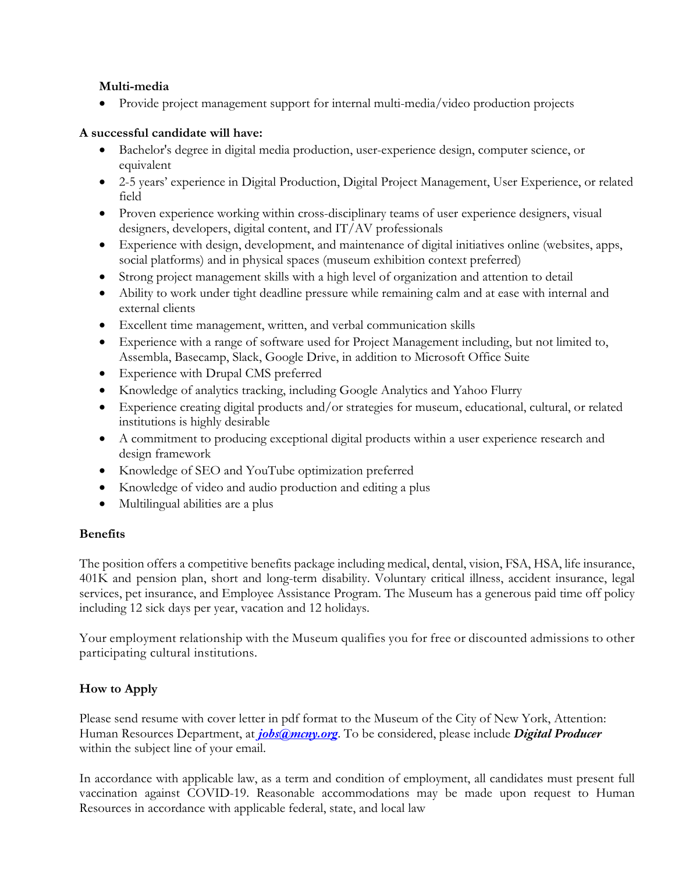#### **Multi-media**

• Provide project management support for internal multi-media/video production projects

### **A successful candidate will have:**

- Bachelor's degree in digital media production, user-experience design, computer science, or equivalent
- 2-5 years' experience in Digital Production, Digital Project Management, User Experience, or related field
- Proven experience working within cross-disciplinary teams of user experience designers, visual designers, developers, digital content, and IT/AV professionals
- Experience with design, development, and maintenance of digital initiatives online (websites, apps, social platforms) and in physical spaces (museum exhibition context preferred)
- Strong project management skills with a high level of organization and attention to detail
- Ability to work under tight deadline pressure while remaining calm and at ease with internal and external clients
- Excellent time management, written, and verbal communication skills
- Experience with a range of software used for Project Management including, but not limited to, Assembla, Basecamp, Slack, Google Drive, in addition to Microsoft Office Suite
- Experience with Drupal CMS preferred
- Knowledge of analytics tracking, including Google Analytics and Yahoo Flurry
- Experience creating digital products and/or strategies for museum, educational, cultural, or related institutions is highly desirable
- A commitment to producing exceptional digital products within a user experience research and design framework
- Knowledge of SEO and YouTube optimization preferred
- Knowledge of video and audio production and editing a plus
- Multilingual abilities are a plus

## **Benefits**

The position offers a competitive benefits package including medical, dental, vision, FSA, HSA, life insurance, 401K and pension plan, short and long-term disability. Voluntary critical illness, accident insurance, legal services, pet insurance, and Employee Assistance Program. The Museum has a generous paid time off policy including 12 sick days per year, vacation and 12 holidays.

Your employment relationship with the Museum qualifies you for free or discounted admissions to other participating cultural institutions.

# **How to Apply**

Please send resume with cover letter in pdf format to the Museum of the City of New York, Attention: Human Resources Department, at *jobs@mcny.org*. To be considered, please include *Digital Producer*  within the subject line of your email.

In accordance with applicable law, as a term and condition of employment, all candidates must present full vaccination against COVID-19. Reasonable accommodations may be made upon request to Human Resources in accordance with applicable federal, state, and local law